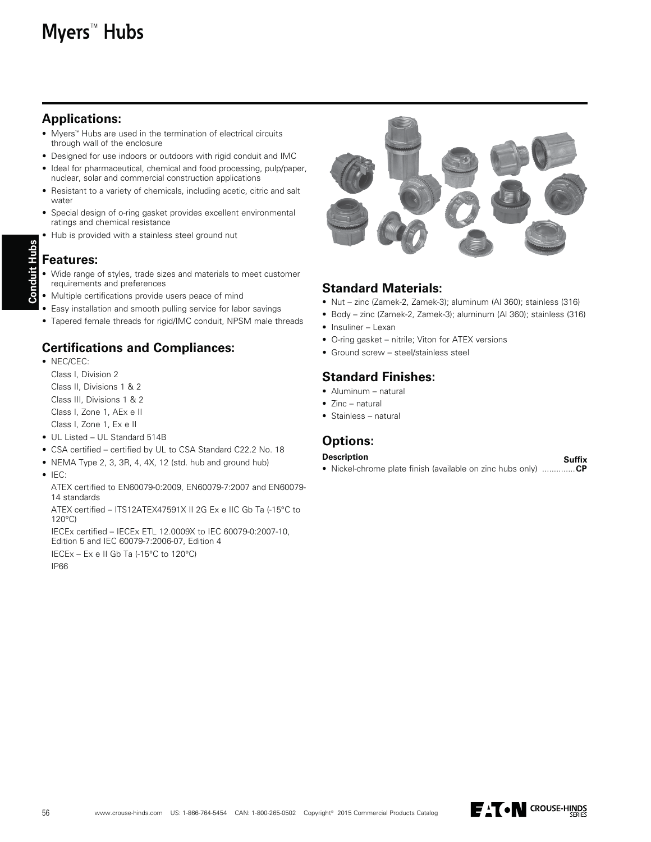# **Myers™ Hubs**

# **Applications:**

- Myers™ Hubs are used in the termination of electrical circuits through wall of the enclosure
- Designed for use indoors or outdoors with rigid conduit and IMC
- Ideal for pharmaceutical, chemical and food processing, pulp/paper, nuclear, solar and commercial construction applications
- Resistant to a variety of chemicals, including acetic, citric and salt water
- Special design of o-ring gasket provides excellent environmental ratings and chemical resistance
- Hub is provided with a stainless steel ground nut

# **Features:**

**Conduit Hubs**

Conduit Hubs

- Wide range of styles, trade sizes and materials to meet customer requirements and preferences
- Multiple certifications provide users peace of mind
- Easy installation and smooth pulling service for labor savings
- Tapered female threads for rigid/IMC conduit, NPSM male threads

# **Certifications and Compliances:**

- $\bullet$  NEC/CEC: Class I. Division 2 Class II, Divisions 1 & 2 Class III, Divisions 1 & 2
	- Class I, Zone 1, AEx e II Class I, Zone 1, Ex e II
- UL Listed UL Standard 514B
- CSA certified certified by UL to CSA Standard C22.2 No. 18
- $\bullet$  NEMA Type 2, 3, 3R, 4, 4X, 12 (std. hub and ground hub)
- $\bullet$  IEC:
	- ATEX certified to EN60079-0:2009, EN60079-7:2007 and EN60079-14 standards

ATEX certified - ITS12ATEX47591X II 2G Ex e IIC Gb Ta (-15°C to  $120^{\circ}$ C)

IECEx certified - IECEx ETL 12.0009X to IEC 60079-0:2007-10, Edition 5 and IEC 60079-7:2006-07, Edition 4

<code>IECEx</code> – Ex e II Gb Ta (-15°C to 120°C)

**IP66** 



#### **Standard Materials:**

- Nut zinc (Zamek-2, Zamek-3); aluminum (Al 360); stainless (316)
- Body zinc (Zamek-2, Zamek-3); aluminum (Al 360); stainless (316)  $\bullet$  Insuliner - Lexan
- O-ring gasket nitrile; Viton for ATEX versions
- Ground screw steel/stainless steel

# **Standard Finishes:**

- $\bullet$  Aluminum natural
- Zinc natural
- $\bullet$  Stainless natural

# **Options:**

#### **Description**

**Suffix** • Nickel-chrome plate finish (available on zinc hubs only) ..............CP

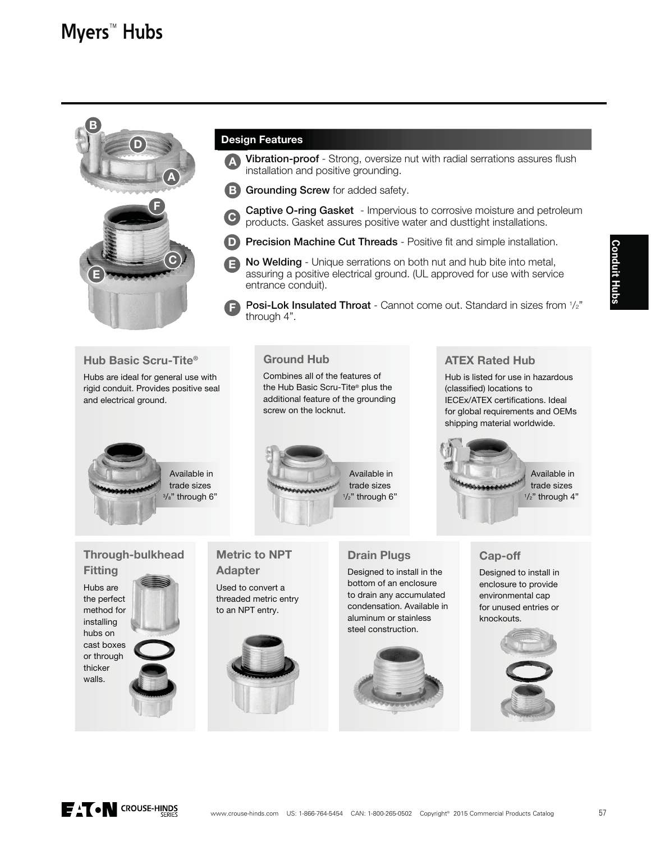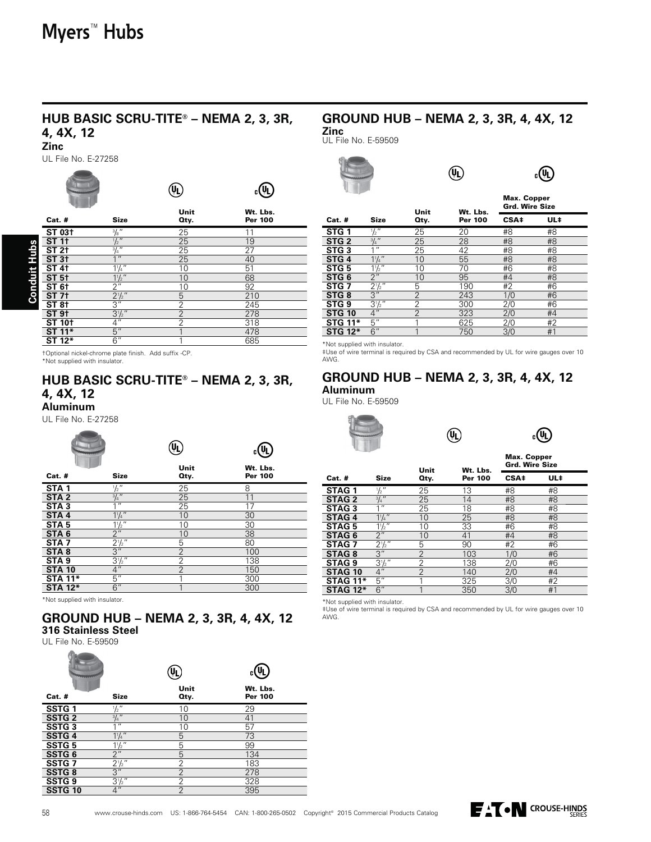# **HUB BASIC SCRU-TITE® – NEMA 2, 3, 3R,**

#### **4, 4X, 12 Zinc**

UL File No. E-27258

| Cat. #                                 | <b>Size</b>      | Unit<br>Oty.   | Wt. Lbs.<br><b>Per 100</b> |
|----------------------------------------|------------------|----------------|----------------------------|
| ST 03 <sup>+</sup>                     | $\frac{3}{8}$ "  | 25             | 11                         |
| ST11                                   | $\frac{1}{2}$ "  | 25             | 19                         |
| <b>Conduit Hubs</b><br>ST <sub>2</sub> | $\frac{3}{4}$ "  | 25             | 27                         |
| <b>ST 31</b>                           | 1 <sup>11</sup>  | 25             | 40                         |
| ST4t                                   | $1\frac{1}{4}$   | 10             | 51                         |
| ST <sub>5</sub>                        | $1\frac{1}{2}$ " | 10             | 68                         |
| <b>ST 6+</b>                           | $\overline{2}$ " | 10             | 92                         |
| ST <sub>7</sub>                        | $2^{1}/2$ "      | 5              | 210                        |
| ST8t                                   | $\overline{3''}$ | $\overline{2}$ | 245                        |
| <b>ST 91</b>                           | $3\frac{1}{2}$ " | $\overline{2}$ | 278                        |
| <b>ST 10+</b>                          | $\overline{4}$ " | 2              | 318                        |
| ST 11*                                 | 5"               |                | 478                        |
| ST 12*                                 | 6"               |                | 685                        |
|                                        |                  |                |                            |

tOptional nickel-chrome plate finish. Add suffix -CP. \*Not supplied with insulator.

# **HUB BASIC SCRU-TITE® – NEMA 2, 3, 3R, 4, 4X, 12**

**Aluminum**

UL File No. E-27258  $\sim$ 

| <b>Cat. #</b>    | <b>Size</b>           | Unit<br>Oty.   | Wt. Lbs.<br><b>Per 100</b> |
|------------------|-----------------------|----------------|----------------------------|
| STA <sub>1</sub> | $\frac{1}{2}$ "       | 25             | 8                          |
| STA <sub>2</sub> | $\frac{3}{4}$ "       | 25             | 11                         |
| STA <sub>3</sub> | $1^{\overline{1}}$    | 25             | 17                         |
| STA <sub>4</sub> | $1^{1}/4$             | 10             | 30                         |
| STA <sub>5</sub> | $1\frac{1}{2}$ "      | 10             | 30                         |
| STA <sub>6</sub> | $\overline{2''}$      | 10             | 38                         |
| STA <sub>7</sub> | $\frac{2^{1/2}}{3''}$ | 5              | 80                         |
| STA <sub>8</sub> |                       | $\overline{2}$ | 100                        |
| STA <sub>9</sub> | $3\frac{1}{2}$        | 2              | 138                        |
| <b>STA 10</b>    | 4 <sup>''</sup>       | $\mathcal{P}$  | 150                        |
| <b>STA 11*</b>   | 5''                   |                | 300                        |
| <b>STA 12*</b>   | $\overline{6''}$      |                | 300                        |

\*Not supplied with insulator.

#### **GROUND HUB – NEMA 2, 3, 3R, 4, 4X, 12 316 Stainless Steel**

UL File No. E-59509

|                    |                     | Unit           | <u>(U)</u><br>Wt. Lbs. |
|--------------------|---------------------|----------------|------------------------|
| Cat. #             | <b>Size</b>         | Oty.           | <b>Per 100</b>         |
| SSTG <sub>1</sub>  | $\frac{1}{2}$ "     | 10             | 29                     |
| <b>SSTG 2</b>      | $\frac{3}{4}$ "     | 10             | 41                     |
| <b>SSTG3</b>       | 1 <sup>II</sup>     | 10             | 57                     |
| SSTG 4             | $1\frac{1}{4}$      | 5              | 73                     |
| <b>SSTG5</b>       | $\frac{11/2}{2}$    | 5              | 99                     |
| SSTG <sub>6</sub>  |                     | 5              | 134                    |
| SSTG <sub>7</sub>  | $2^{1/2}$           | 2              | 183                    |
| <b>SSTG8</b>       | $\overline{3''}$    | $\overline{2}$ | 278                    |
| SSTG <sub>9</sub>  | $\frac{3^{1}/2}{4}$ | $\overline{2}$ | 328                    |
| SSTG <sub>10</sub> |                     | $\mathfrak{D}$ | 395                    |

## **GROUND HUB – NEMA 2, 3, 3R, 4, 4X, 12**

 $\circledR$ 

**Zinc** UL File No. E-59509



 $_{c}(\mathbb{Q})$ 

|                  |                  | Unit           | Wt. Lbs.       | <b>Max. Copper</b><br><b>Grd. Wire Size</b> |     |
|------------------|------------------|----------------|----------------|---------------------------------------------|-----|
| Cat. #           | Size             | Oty.           | <b>Per 100</b> | CSA‡                                        | UL‡ |
| STG <sub>1</sub> | $\frac{1}{2}$ "  | 25             | 20             | #8                                          | #8  |
| STG <sub>2</sub> | $\frac{3}{4}$ "  | 25             | 28             | #8                                          | #8  |
| STG <sub>3</sub> | 11               | 25             | 42             | #8                                          | #8  |
| STG <sub>4</sub> | $1\frac{1}{4}$   | 10             | 55             | #8                                          | #8  |
| STG <sub>5</sub> | $\frac{11}{2}$   | 10             | 70             | #6                                          | #8  |
| STG <sub>6</sub> | 2"               | 10             | 95             | #4                                          | #8  |
| STG <sub>7</sub> | $2\sqrt[1]{2}$   | 5              | 190            | #2                                          | #6  |
| STG <sub>8</sub> | 3''              | 2              | 243            | 1/0                                         | #6  |
| STG <sub>9</sub> | $3^{1}/2$ "      | 2              | 300            | 2/0                                         | #6  |
| <b>STG 10</b>    | 4 <sup>''</sup>  | $\overline{2}$ | 323            | 2/0                                         | #4  |
| <b>STG 11*</b>   | 5''              | 1              | 625            | 2/0                                         | #2  |
| <b>STG 12*</b>   | $\overline{6}$ " |                | 750            | 3/0                                         | #1  |

\*Not supplied with insulator.

to eapplied that medicion.<br>#Use of wire terminal is required by CSA and recommended by UL for wire gauges over 10 AWG.

 $\left(\begin{matrix} 0 \\ 1 \end{matrix}\right)$ 

# **GROUND HUB – NEMA 2, 3, 3R, 4, 4X, 12**

#### **Aluminum**

UL File No. E-59509





|                    |                     | Unit           | Wt. Lbs.       | <b>Max. Copper</b><br><b>Grd. Wire Size</b> |     |
|--------------------|---------------------|----------------|----------------|---------------------------------------------|-----|
| Cat. #             | <b>Size</b>         | Oty.           | <b>Per 100</b> | CSA‡                                        | UL‡ |
| STAG <sub>1</sub>  | $\frac{1}{2}$ "     | 25             | 13             | #8                                          | #8  |
| <b>STAG 2</b>      | $\frac{3}{4}$ "     | 25             | 14             | #8                                          | #8  |
| STAG <sub>3</sub>  | $4$ $\overline{11}$ | 25             | 18             | #8                                          | #8  |
| STAG <sub>4</sub>  | $1^{1}/4$           | 10             | 25             | #8                                          | #8  |
| <b>STAG5</b>       | $1\frac{1}{2}$ "    | 10             | 33             | #6                                          | #8  |
| STAG <sub>6</sub>  | 2"                  | 10             | 41             | #4                                          | #8  |
| STAG <sub>7</sub>  | $2\frac{1}{2}$ "    | 5              | 90             | #2                                          | #6  |
| STAG <sub>8</sub>  | 3''                 | 2              | 103            | 1/0                                         | #6  |
| STAG <sub>9</sub>  | $3\frac{1}{2}$ "    | 2              | 138            | 2/0                                         | #6  |
| STAG <sub>10</sub> | 4"                  | $\overline{2}$ | 140            | 2/0                                         | #4  |
| <b>STAG 11*</b>    | 5''                 |                | 325            | 3/0                                         | #2  |
| <b>STAG 12*</b>    | 6"                  | 1              | 350            | 3/0                                         | #1  |

\*Not supplied with insulator.<br>‡Use of wire terminal is required by CSA and recommended by UL for wire gauges over 10 . AWG.

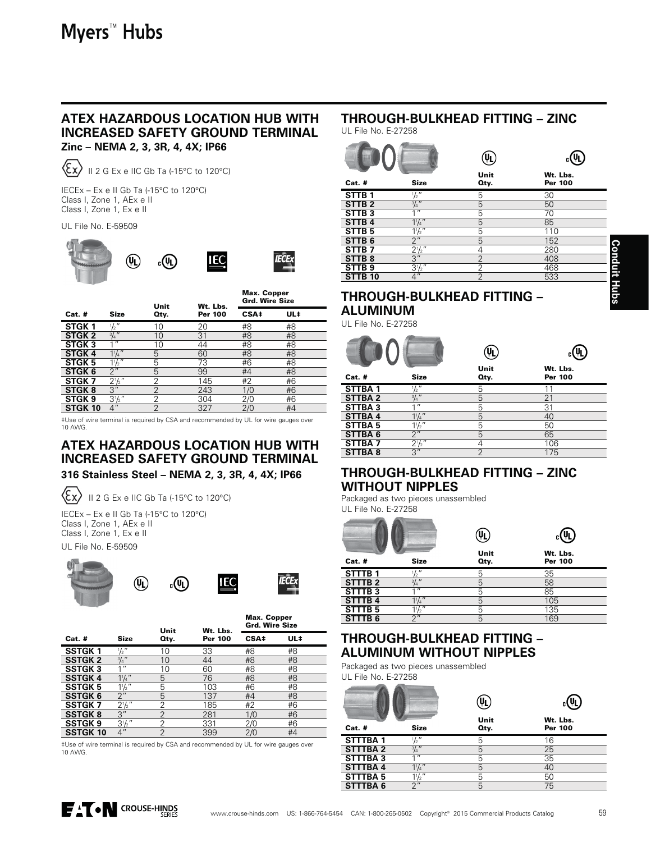# **ATEX HAZARDOUS LOCATION HUB WITH INCREASED SAFETY GROUND TERMINAL**

**Zinc – NEMA 2, 3, 3R, 4, 4X; IP66**



II 2 G Ex e IIC Gb Ta (-15°C to 120°C)

 $\overline{ECEx}$  – Ex e II Gb Ta (-15°C to 120°C) Class I, Zone 1, AEx e II Class I, Zone 1, Ex e II

#### UL File No. E-59509



|                   |                  | Unit | Wt. Lbs.       | iviax. Copper<br><b>Grd. Wire Size</b> |     |
|-------------------|------------------|------|----------------|----------------------------------------|-----|
| $Cat.$ #          | <b>Size</b>      | Qty. | <b>Per 100</b> | CSA‡                                   | UL‡ |
| STGK <sub>1</sub> | $\frac{1}{2}$    | 10   | 20             | #8                                     | #8  |
| STGK <sub>2</sub> | $3/4$ "          | 10   | 31             | #8                                     | #8  |
| STGK <sub>3</sub> | 1 <sup>II</sup>  | 10   | 44             | #8                                     | #8  |
| STGK <sub>4</sub> | $1^{1}/4$        | 5    | 60             | #8                                     | #8  |
| <b>STGK 5</b>     | $1\frac{1}{2}$ " | 5    | 73             | #6                                     | #8  |
| STGK 6            | 2 <sup>''</sup>  | 5    | 99             | #4                                     | #8  |
| STGK <sub>7</sub> | $2\frac{1}{2}$ " | 2    | 145            | #2                                     | #6  |
| STGK <sub>8</sub> | 3"               | 2    | 243            | 1/0                                    | #6  |
| <b>STGK 9</b>     | $3\frac{1}{2}$ " | 2    | 304            | 2/0                                    | #6  |
| <b>STGK 10</b>    | 4"               | 2    | 327            | 2/0                                    | #4  |

‡Use of wire terminal is required by CSA and recommended by UL for wire gauges over<br>10 AWG.

# **ATEX HAZARDOUS LOCATION HUB WITH INCREASED SAFETY GROUND TERMINAL**

#### **316 Stainless Steel – NEMA 2, 3, 3R, 4, 4X; IP66**

 $\langle \epsilon_{\mathsf{x}} \rangle$ II 2 G Ex e IIC Gb Ta (-15°C to 120°C)

(VL)

 $\overline{\text{IECEx}} - \overline{\text{Ex e H}}$  Gb Ta (-15°C to 120°C) Class I, Zone 1, AEx e II Class I, Zone 1, Ex e II

UL File No. E-59509







Max. Copper

|                |                  | Unit           | Wt. Lbs.       | <b>Max. Copper</b><br><b>Grd. Wire Size</b> |     |
|----------------|------------------|----------------|----------------|---------------------------------------------|-----|
| $Cat.$ #       | <b>Size</b>      | Oty.           | <b>Per 100</b> | CSA‡                                        | UL‡ |
| <b>SSTGK1</b>  | $\frac{1}{2}$    | 10             | 33             | #8                                          | #8  |
| <b>SSTGK 2</b> | $\frac{3}{4}$ "  | 10             | 44             | #8                                          | #8  |
| <b>SSTGK3</b>  | 1 <sup>ii</sup>  | 10             | 60             | #8                                          | #8  |
| <b>SSTGK4</b>  | $1\frac{1}{4}$   | 5              | 76             | #8                                          | #8  |
| <b>SSTGK5</b>  | $1\frac{1}{2}$   | 5              | 103            | #6                                          | #8  |
| <b>SSTGK6</b>  | 2 <sup>''</sup>  | 5              | 137            | #4                                          | #8  |
| <b>SSTGK7</b>  | $2\frac{1}{2}$ " | 2              | 185            | #2                                          | #6  |
| <b>SSTGK8</b>  | 3"               | $\overline{2}$ | 281            | 1/0                                         | #6  |
| <b>SSTGK9</b>  | $3^{1}/2$ "      | $\overline{2}$ | 331            | 2/0                                         | #6  |
| <b>SSTGK10</b> | 4"               | $\mathcal{P}$  | 399            | 2/0                                         | #4  |

#Use of wire terminal is required by CSA and recommended by UL for wire gauges over 10 AWG

# **THROUGH-BULKHEAD FITTING – ZINC**

UL File No. E-27258

|                    |                    | Unit           | Wt. Lbs.       |
|--------------------|--------------------|----------------|----------------|
| <b>Cat. #</b>      | <b>Size</b>        | Oty.           | <b>Per 100</b> |
| STTB <sub>1</sub>  | $\frac{1}{2}$      | 5              | 30             |
| STTB <sub>2</sub>  | $\frac{3}{4}$ "    | 5              | 50             |
| STTB <sub>3</sub>  | $1^{\overline{u}}$ | 5              | 70             |
| STTB <sub>4</sub>  | $1\frac{1}{4}$     | 5              | 85             |
| STTB <sub>5</sub>  | $1\frac{1}{2}$     | 5              | 110            |
| STTB <sub>6</sub>  | 2 <sup>''</sup>    | 5              | 152            |
| STTB <sub>7</sub>  | $2\frac{1}{2}$ "   | 4              | 280            |
| STTB <sub>8</sub>  | $\overline{3''}$   | $\overline{2}$ | 408            |
| STTB <sub>9</sub>  | $3\frac{1}{2}$ "   | 2              | 468            |
| STTB <sub>10</sub> | 4 <sup>''</sup>    | $\mathfrak{D}$ | 533            |

## **THROUGH-BULKHEAD FITTING – ALUMINUM**

UL File No. E-27258

| <b>Cat. #</b>      | <b>Size</b>      | Ųį<br>Unit<br>Qty. | Wt. Lbs.<br><b>Per 100</b> |
|--------------------|------------------|--------------------|----------------------------|
| STTBA <sub>1</sub> | $\frac{1}{2}$    | 5                  | 11                         |
| <b>STTBA2</b>      | $\frac{3}{4}$ "  | 5                  | 21                         |
| STTBA3             | 11               | 5                  | 31                         |
| <b>STTBA4</b>      | $1^{1}/4$ "      | 5                  | 40                         |
| STTBA <sub>5</sub> | $1\frac{1}{2}$ " | 5                  | 50                         |
| STTBA6             | 2 <sup>''</sup>  | 5                  | 65                         |
| STTBA7             | $2\frac{1}{2}$ " |                    | 106                        |
| <b>STTBA8</b>      | 3''              | っ                  | 175                        |

#### **THROUGH-BULKHEAD FITTING – ZINC WITHOUT NIPPLES**

Packaged as two pieces unassembled UL File No. E-27258

|                    |                 | Unit | Wt. Lbs. |  |
|--------------------|-----------------|------|----------|--|
| <b>Cat. #</b>      | <b>Size</b>     | Qty. | Per 100  |  |
| STTTB <sub>1</sub> | $\frac{1}{2}$ " | 5    | 35       |  |
| STTTB <sub>2</sub> | $\frac{3}{4}$ " | 5    | 58       |  |
| STTTB <sub>3</sub> | 11              | 5    | 85       |  |
| <b>STTTB4</b>      | $1^{1}/4$ "     | 5    | 105      |  |
| STTTB <sub>5</sub> | $1\frac{1}{2}$  | 5    | 135      |  |
| STTTB <sub>6</sub> | 2 <sup>''</sup> | 5    | 169      |  |

# **THROUGH-BULKHEAD FITTING – ALUMINUM WITHOUT NIPPLES**

Packaged as two pieces unassembled UL File No. E-27258

|                |                    | Unit | Wt. Lbs.       |  |
|----------------|--------------------|------|----------------|--|
| $Cat.$ #       | <b>Size</b>        | Oty. | <b>Per 100</b> |  |
| <b>STTTBA1</b> | $\frac{1}{2}$      | 5    | 16             |  |
| <b>STTTBA2</b> | $\frac{3}{4}$ "    | 5    | 25             |  |
| STTTBA3        | 11                 | 5    | 35             |  |
| <b>STTTBA4</b> | $1^{1}/4$          | 5    | 40             |  |
| <b>STTTBA5</b> | $1\frac{1}{2}$ "   | 5    | 50             |  |
| <b>STTTBA6</b> | $2^{\prime\prime}$ | 5    | 75             |  |
|                |                    |      |                |  |

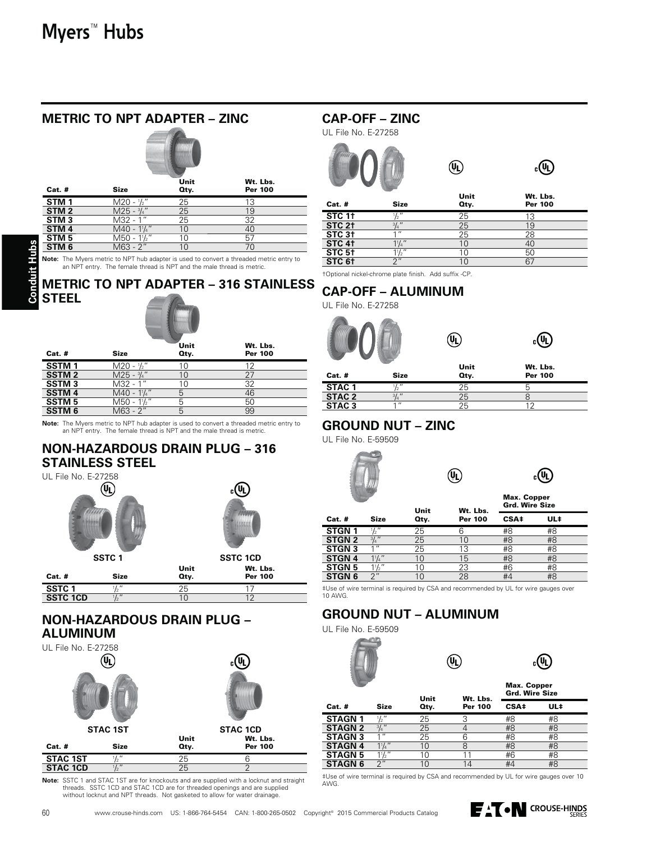| $Cat.$ #         | <b>Size</b>                             | Unit<br>Oty. | Wt. Lbs.<br>Per 100 |
|------------------|-----------------------------------------|--------------|---------------------|
| STM <sub>1</sub> | $M20 - \frac{1}{2}$ "                   | 25           | 13                  |
| STM <sub>2</sub> | $M25 - \frac{3}{4}$ "                   | 25           | 19                  |
| STM <sub>3</sub> | M32 - 1"                                | 25           | 32                  |
| STM <sub>4</sub> | $M40 - 1$ <sup>1</sup> / <sub>4</sub> " | 10           | 40                  |
| STM <sub>5</sub> | $M50 - 1\frac{1}{2}$                    | 10           | 57                  |
| STM <sub>6</sub> | M63 - 2"                                | 10           | 70                  |

**METRIC TO NPT ADAPTER – ZINC**

**Note:** The Myers metric to NPT hub adapter is used to convert a threaded metric entry to an NPT entry. The female thread is NPT and the male thread is metric.

## **METRIC TO NPT ADAPTER – 316 STAINLESS STEEL**



|                   |                      | Unit | Wt. Lbs.       |
|-------------------|----------------------|------|----------------|
| $Cat.$ #          | <b>Size</b>          | Qty. | <b>Per 100</b> |
| SSTM <sub>1</sub> | $M20 - \frac{1}{2}$  | 10   | 12             |
| <b>SSTM2</b>      | $M25 - 3/4''$        | 10   | 27             |
| <b>SSTM3</b>      | M32 - 1"             | 10   | 32             |
| <b>SSTM4</b>      | $M40 - 11/4$ "       | 5    | 46             |
| <b>SSTM5</b>      | $M50 - 1\frac{1}{2}$ |      | 50             |
| <b>SSTM 6</b>     | $M63 - 2"$           |      | 99             |
|                   |                      |      |                |

**Note:** The Myers metric to NPT hub adapter is used to convert a threaded metric entry to an NPT entry. The female thread is NPT and the male thread is metric.

#### **NON-HAZARDOUS DRAIN PLUG – 316 STAINLESS STEEL**



## **NON-HAZARDOUS DRAIN PLUG – ALUMINUM**



Note: SSTC 1 and STAC 1ST are for knockouts and are supplied with a locknut and straight threads. SSTC 1CD and STAC 1CD are for threaded openings and are supplied<br>without locknut and NPT threads. Not gasketed to allow for water drainage.

## **CAP-OFF – ZINC**

UL File No. E-27258





|                      |                | Unit | Wt. Lbs.       |  |
|----------------------|----------------|------|----------------|--|
| $Cat.$ #             | <b>Size</b>    | Qty. | <b>Per 100</b> |  |
| <b>STC 11</b>        | $^{\prime}$    | 25   | 13             |  |
| STC 2 <sup>+</sup>   | $31.$ "        | 25   | 19             |  |
| $STC$ 3 <sup>+</sup> | $\overline{1}$ | 25   | 28             |  |
| STC 4 <sup>+</sup>   |                |      | 40             |  |
| STC 5 <sup>+</sup>   | 11/2           |      | 50             |  |
| STC 61               | $\bigcap$      |      | 67             |  |

tOptional nickel-chrome plate finish. Add suffix -CP.

# **CAP-OFF – ALUMINUM**

UL File No. E-27258



**STAC 3** 1" 25 12

## **GROUND NUT – ZINC**

UL File No. E-59509



| $_{c}(\Psi)$ |
|--------------|
|              |

|                   |                   | Unit    | Wt. Lbs.       | <b>Max. Copper</b><br><b>Grd. Wire Size</b> |     |
|-------------------|-------------------|---------|----------------|---------------------------------------------|-----|
| Size<br>Cat. #    |                   | Qty.    | <b>Per 100</b> | CSA‡                                        | UL‡ |
| STGN <sub>1</sub> | $\overline{12}$ " | 25      | 6              | #8                                          | #8  |
| <b>STGN 2</b>     | $3/4$ "           | 25      | 10             | #8                                          | #8  |
| <b>STGN3</b>      | 11                | 25      | 13             | #8                                          | #8  |
| <b>STGN 4</b>     | $1\frac{1}{4}$    | $10 \,$ | 15             | #8                                          | #8  |
| <b>STGN5</b>      | $1\frac{1}{2}$ "  | 10      | 23             | #6                                          | #8  |
| STGN <sub>6</sub> | 2"                | 1 ∩     | 28             | #4                                          | #8  |

#Use of wire terminal is required by CSA and recommended by UL for wire gauges over 10 AWG.

# **GROUND NUT – ALUMINUM**

UL File No. E-59509

| 7 Ui<br>сħ |
|------------|
|            |

|                |                  | Unit | Wt. Lbs.       | Max. Copper<br><b>Grd. Wire Size</b> |     |  |  |
|----------------|------------------|------|----------------|--------------------------------------|-----|--|--|
| Cat. #         | Size             | Qty. | <b>Per 100</b> | CSA‡                                 | UL‡ |  |  |
| STAGN 1        | $\frac{1}{2}$ "  | 25   | 3              | #8                                   | #8  |  |  |
| STAGN 2        | $3/4$ "          | 25   |                | #8                                   | #8  |  |  |
| STAGN 3        | 111              | 25   | 6              | #8                                   | #8  |  |  |
| <b>STAGN 4</b> | $1\frac{1}{4}$ " | 10   | 8              | #8                                   | #8  |  |  |
| STAGN 5        | $1\frac{1}{2}$ " | 10   |                | #6                                   | #8  |  |  |
| STAGN 6        | 2"               | 10   | 14             | #4                                   | #8  |  |  |
|                |                  |      |                |                                      |     |  |  |

 $(\mathbb{Q})$ 

#Use of wire terminal is required by CSA and recommended by UL for wire gauges over 10 AWG.

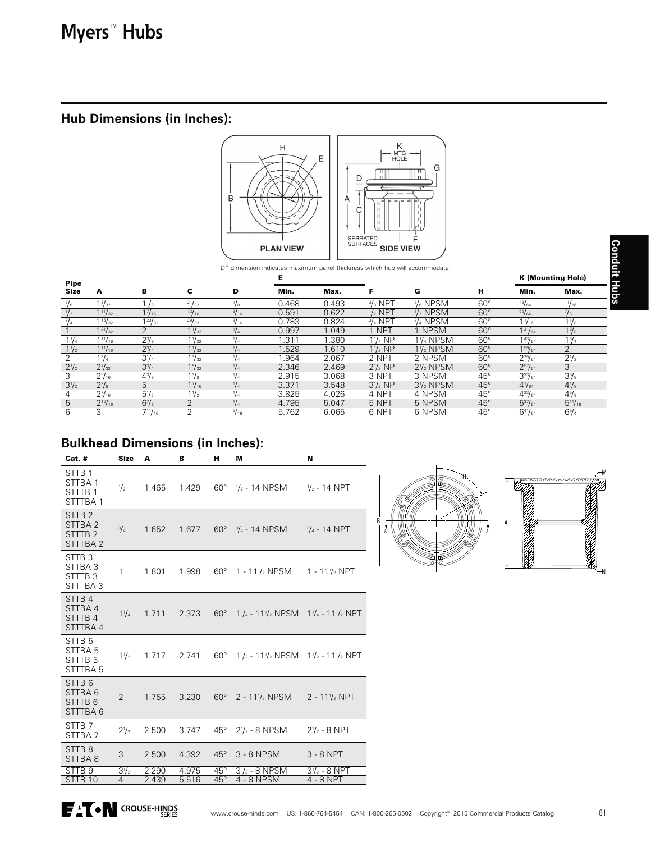# **Hub Dimensions (in Inches):**



|                | SERRATED<br><b>SURFACES</b><br><b>SIDE VIEW</b><br><b>PLAN VIEW</b> |                |                 |               |                                                                             |       |                    |                     |              |                 |                          |
|----------------|---------------------------------------------------------------------|----------------|-----------------|---------------|-----------------------------------------------------------------------------|-------|--------------------|---------------------|--------------|-----------------|--------------------------|
|                |                                                                     |                |                 |               | "D" dimension indicates maximum panel thickness which hub will accommodate. |       |                    |                     |              |                 |                          |
| <b>Pipe</b>    |                                                                     |                |                 |               | Е                                                                           |       |                    |                     |              |                 | <b>K (Mounting Hole)</b> |
| Size           | А                                                                   | в              | c               | D             | Min.                                                                        | Max.  |                    | G                   | н            | Min.            | Max.                     |
| $^{3}/_{8}$    | $1\frac{3}{32}$                                                     | $1\frac{1}{8}$ | 21/32           | "/s           | 0.468                                                                       | 0.493 | $\frac{3}{8}$ NPT  | $\frac{3}{8}$ NPSM  | $60^{\circ}$ | 43/64           | 11/16                    |
|                | $1^{11}/_{32}$                                                      | $1^{7}/_{16}$  | $\frac{13}{16}$ | $^{3}/_{16}$  | 0.591                                                                       | 0.622 | $\frac{1}{2}$ NPT  | $1/2$ NPSM          | $60^{\circ}$ | 55/64           | $\frac{7}{8}$            |
| $^{3}/_{4}$    | $1\frac{15}{32}$                                                    | $1^{23}/_{32}$ | 29/32           | $^{3}/_{16}$  | 0.783                                                                       | 0.824 | $\frac{3}{4}$ NPT  | $\frac{3}{4}$ NPSM  | $60^{\circ}$ | $1\frac{1}{16}$ | $1\frac{1}{8}$           |
|                | $1^{21}/_{32}$                                                      | 2              | $1\frac{1}{32}$ |               | 0.997                                                                       | 1.049 | <b>NPT</b>         | <b>NPSM</b>         | $60^\circ$   | $1^{21}/_{64}$  | $1\frac{3}{8}$           |
| $1\frac{1}{4}$ | $1^{11}/_{16}$                                                      | $2^{3}/8$      | $1\frac{1}{32}$ |               | 1.311                                                                       | .380  | 1½ NPT             | 1½ NPSM             | $60^\circ$   | 143/64          | $1\frac{3}{4}$           |
| $1\frac{1}{2}$ | $1^{11}/_{16}$                                                      | $2^{3}/_{4}$   | $1\frac{1}{32}$ |               | 1.529                                                                       | 1.610 | $1\frac{1}{2}$ NPT | $1\frac{1}{2}$ NPSM | $60^\circ$   | $1^{59}/_{64}$  | 2                        |
|                | $1^{3}/_{4}$                                                        | $3^{1/4}$      | $1\frac{3}{32}$ |               | .964                                                                        | 2.067 | 2 NPT              | 2 NPSM              | $60^{\circ}$ | $2^{25}/_{64}$  | $2^{1/2}$                |
| $2^{1/2}$      | $2^7/32$                                                            | $3^{3}/_{4}$   | $1\frac{9}{32}$ |               | 2.346                                                                       | 2.469 | $2\frac{1}{2}$ NPT | $2\frac{1}{2}$ NPSM | $60^\circ$   | $2^{57}/_{64}$  | 3                        |
| 3              | $2\frac{5}{16}$                                                     | $4\frac{3}{8}$ | $1^{3}/_{8}$    |               | 2.915                                                                       | 3.068 | 3 NPT              | 3 NPSM              | $45^{\circ}$ | $3^{33}/_{64}$  | $3\frac{5}{8}$           |
| $3^{1}/2$      | $2^{3}/8$                                                           | 5              | $1^{7}/_{16}$   |               | 3.371                                                                       | 3.548 | $3\frac{1}{2}$ NPT | $3\frac{1}{2}$ NPSM | $45^{\circ}$ | $4^{1}/_{64}$   | $4\frac{1}{8}$           |
| 4              | $2^{7}/_{16}$                                                       | $5^{1/2}$      | $1\frac{1}{2}$  | $\frac{1}{4}$ | 3.825                                                                       | 4.026 | 4 NPT              | 4 NPSM              | $45^{\circ}$ | $4^{33}/_{64}$  | $4\frac{5}{8}$           |
| 5              | $2^{15}/_{16}$                                                      | $6\frac{7}{8}$ | $\mathfrak{D}$  |               | 4.795                                                                       | 5.047 | 5 NPT              | 5 NPSM              | $45^\circ$   | $5^{37}/_{64}$  | $5^{11}/_{16}$           |
| 6              | З                                                                   | $7^{11}/_{16}$ | っ               | 5/16          | 5.762                                                                       | 6.065 | 6 NPT              | 6 NPSM              | $45^{\circ}$ | $6^{41}/_{64}$  | $6^{3}/_{4}$             |

# **Bulkhead Dimensions (in Inches):**

| Cat. #                                                                               | <b>Size</b>    | A     | в     | н                          | м                                                                                  | N                        |  |  |
|--------------------------------------------------------------------------------------|----------------|-------|-------|----------------------------|------------------------------------------------------------------------------------|--------------------------|--|--|
| STTB <sub>1</sub><br>STTBA <sub>1</sub><br>STTTB <sub>1</sub><br>STTTBA <sub>1</sub> | $\frac{1}{2}$  | 1.465 | 1.429 |                            | 60° $\frac{1}{2}$ - 14 NPSM $\frac{1}{2}$ - 14 NPT                                 |                          |  |  |
| STTB <sub>2</sub><br>STTBA <sub>2</sub><br>STTTB <sub>2</sub><br>STTTBA <sub>2</sub> | $^{3}/_{4}$    | 1.652 | 1.677 |                            | $60^{\circ}$ $\frac{3}{4}$ - 14 NPSM                                               | $\frac{3}{4}$ - 14 NPT   |  |  |
| STTB <sub>3</sub><br>STTBA 3<br>STTTB3<br>STTTBA3                                    | $\mathbf{1}$   | 1.801 | 1.998 |                            | $60^{\circ}$ 1 - 11 $\frac{1}{2}$ NPSM                                             | 1 - 11 $\frac{1}{2}$ NPT |  |  |
| STTB 4<br>STTBA4<br>STTTB4<br>STTTBA4                                                | $1\frac{1}{4}$ | 1.711 | 2.373 |                            | 60° 1 $\frac{1}{4}$ - 11 $\frac{1}{2}$ NPSM 1 $\frac{1}{4}$ - 11 $\frac{1}{2}$ NPT |                          |  |  |
| STTB <sub>5</sub><br>STTBA <sub>5</sub><br>STTTB <sub>5</sub><br>STTTBA <sub>5</sub> | $1\frac{1}{2}$ | 1.717 | 2.741 |                            | 60° 1 $\frac{1}{2}$ - 11 $\frac{1}{2}$ NPSM 1 $\frac{1}{2}$ - 11 $\frac{1}{2}$ NPT |                          |  |  |
| STTB <sub>6</sub><br>STTBA6<br>STTTB <sub>6</sub><br>STTTBA6                         | $\overline{2}$ | 1.755 | 3.230 |                            | $60^{\circ}$ 2 - 11 $\frac{1}{2}$ NPSM                                             | $2 - 11\frac{1}{2}$ NPT  |  |  |
| STTB 7<br>STTBA <sub>7</sub>                                                         | $2^{1/2}$      | 2.500 | 3.747 | $45^{\circ}$               | $2\frac{1}{2}$ - 8 NPSM                                                            | $2\frac{1}{2}$ - 8 NPT   |  |  |
| STTB <sub>8</sub><br>STTBA8                                                          | 3              | 2.500 | 4.392 | $45^\circ$                 | 3 - 8 NPSM                                                                         | $3 - 8$ NPT              |  |  |
| STTB <sub>9</sub>                                                                    | $3^{1}/_{2}$   | 2.290 | 4.975 | $45^{\circ}$<br>$45^\circ$ | $3\frac{1}{2}$ - 8 NPSM                                                            | $3\frac{1}{2}$ - 8 NPT   |  |  |
| STTB 10                                                                              | $\overline{4}$ | 2.439 | 5.516 |                            | 4 - 8 NPSM                                                                         | 4 - 8 NPT                |  |  |